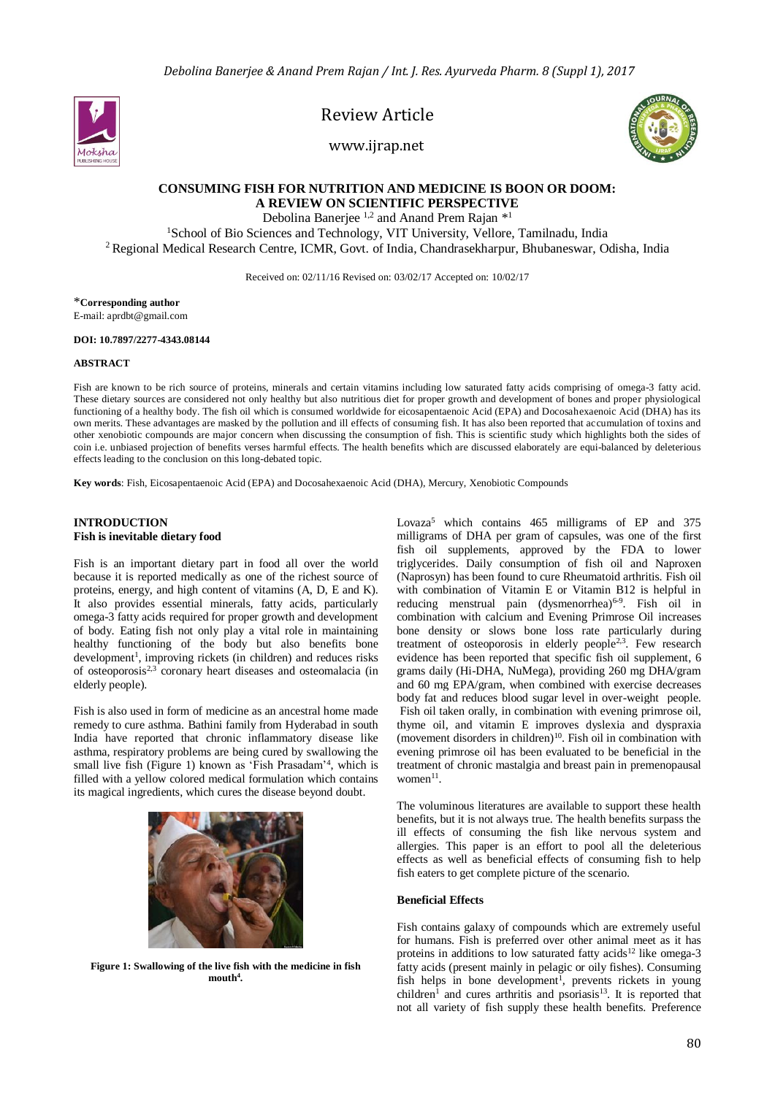*Debolina Banerjee & Anand Prem Rajan / Int. J. Res. Ayurveda Pharm. 8 (Suppl 1), 2017*



Review Article

[www.ijrap.net](http://www.ijrap.net/)



# **CONSUMING FISH FOR NUTRITION AND MEDICINE IS BOON OR DOOM: A REVIEW ON SCIENTIFIC PERSPECTIVE**

Debolina Banerjee <sup>1,2</sup> and Anand Prem Rajan \*<sup>1</sup>

<sup>1</sup>School of Bio Sciences and Technology, VIT University, Vellore, Tamilnadu, India <sup>2</sup> Regional Medical Research Centre, ICMR, Govt. of India, Chandrasekharpur, Bhubaneswar, Odisha, India

Received on: 02/11/16 Revised on: 03/02/17 Accepted on: 10/02/17

\***Corresponding author** E-mail: aprdbt@gmail.com

# **DOI: 10.7897/2277-4343.08144**

#### **ABSTRACT**

Fish are known to be rich source of proteins, minerals and certain vitamins including low saturated fatty acids comprising of omega-3 fatty acid. These dietary sources are considered not only healthy but also nutritious diet for proper growth and development of bones and proper physiological functioning of a healthy body. The fish oil which is consumed worldwide for eicosapentaenoic Acid (EPA) and Docosahexaenoic Acid (DHA) has its own merits. These advantages are masked by the pollution and ill effects of consuming fish. It has also been reported that accumulation of toxins and other xenobiotic compounds are major concern when discussing the consumption of fish. This is scientific study which highlights both the sides of coin i.e. unbiased projection of benefits verses harmful effects. The health benefits which are discussed elaborately are equi-balanced by deleterious effects leading to the conclusion on this long-debated topic.

**Key words**: Fish, Eicosapentaenoic Acid (EPA) and Docosahexaenoic Acid (DHA), Mercury, Xenobiotic Compounds

## **INTRODUCTION Fish is inevitable dietary food**

Fish is an important dietary part in food all over the world because it is reported medically as one of the richest source of proteins, energy, and high content of vitamins (A, D, E and K). It also provides essential minerals, fatty acids, particularly omega-3 fatty acids required for proper growth and development of body. Eating fish not only play a vital role in maintaining healthy functioning of the body but also benefits bone development<sup>1</sup>, improving rickets (in children) and reduces risks of osteoporosis $2,3$  coronary heart diseases and osteomalacia (in elderly people).

Fish is also used in form of medicine as an ancestral home made remedy to cure asthma. Bathini family from Hyderabad in south India have reported that chronic inflammatory disease like asthma, respiratory problems are being cured by swallowing the small live fish (Figure 1) known as 'Fish Prasadam'<sup>4</sup> , which is filled with a yellow colored medical formulation which contains its magical ingredients, which cures the disease beyond doubt.



**Figure 1: Swallowing of the live fish with the medicine in fish mouth<sup>4</sup>** *.*

Lovaza<sup>5</sup> which contains  $465$  milligrams of EP and  $375$ milligrams of DHA per gram of capsules, was one of the first fish oil supplements, approved by the FDA to lower triglycerides. Daily consumption of fish oil and Naproxen (Naprosyn) has been found to cure Rheumatoid arthritis. Fish oil with combination of Vitamin E or Vitamin B12 is helpful in reducing menstrual pain (dysmenorrhea)<sup>6-9</sup>. Fish oil in combination with calcium and Evening Primrose Oil increases bone density or slows bone loss rate particularly during treatment of osteoporosis in elderly people<sup>2,3</sup>. Few research evidence has been reported that specific fish oil supplement, 6 grams daily (Hi-DHA, NuMega), providing 260 mg DHA/gram and 60 mg EPA/gram, when combined with exercise decreases body fat and reduces blood sugar level in over-weight people. Fish oil taken orally, in combination with evening primrose oil, thyme oil, and vitamin E improves dyslexia and dyspraxia (movement disorders in children) $10$ . Fish oil in combination with evening primrose oil has been evaluated to be beneficial in the treatment of chronic mastalgia and breast pain in premenopausal  $women<sup>11</sup>$ .

The voluminous literatures are available to support these health benefits, but it is not always true. The health benefits surpass the ill effects of consuming the fish like nervous system and allergies. This paper is an effort to pool all the deleterious effects as well as beneficial effects of consuming fish to help fish eaters to get complete picture of the scenario.

### **Beneficial Effects**

Fish contains galaxy of compounds which are extremely useful for humans. Fish is preferred over other animal meet as it has proteins in additions to low saturated fatty acids<sup>12</sup> like omega-3 fatty acids (present mainly in pelagic or oily fishes). Consuming fish helps in bone development<sup>1</sup>, prevents rickets in young  $children<sup>1</sup>$  and cures arthritis and psoriasis<sup>13</sup>. It is reported that not all variety of fish supply these health benefits. Preference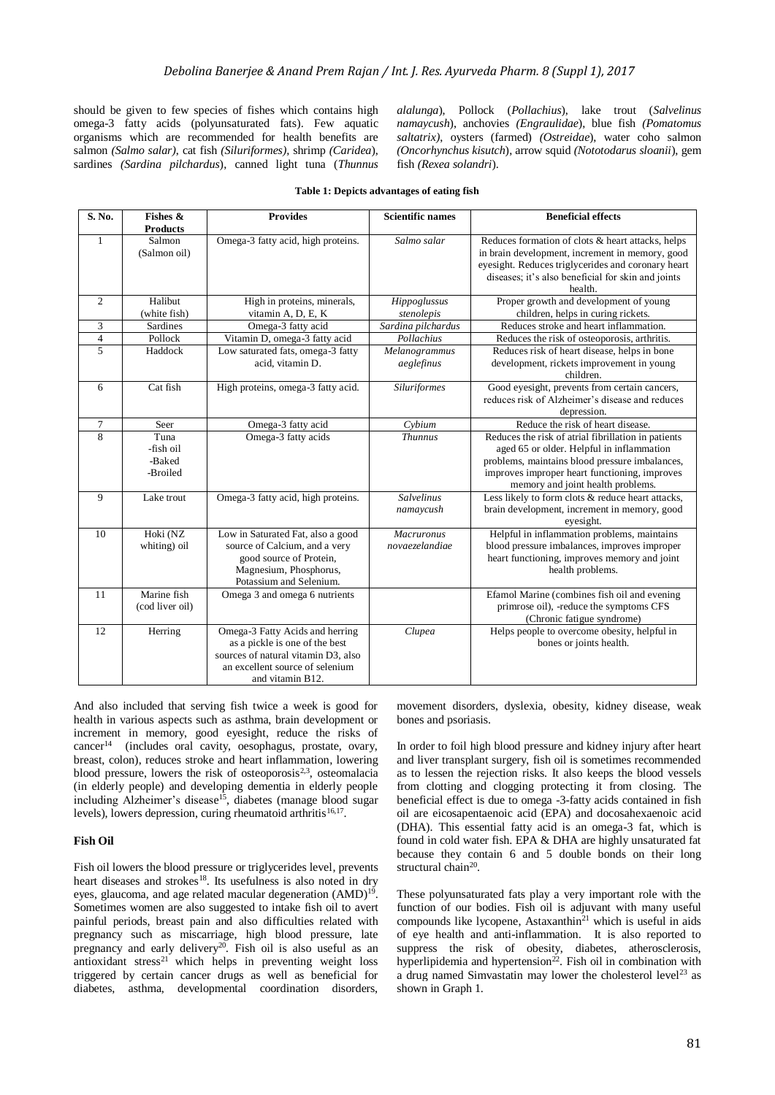should be given to few species of fishes which contains high omega-3 fatty acids (polyunsaturated fats). Few aquatic organisms which are recommended for health benefits are salmon *(Salmo salar)*, cat fish *(Siluriformes),* shrimp *(Caridea*), sardines *(Sardina pilchardus*), canned light tuna (*Thunnus* 

*alalunga*), Pollock (*Pollachius*), lake trout (*Salvelinus namaycush*), anchovies *(Engraulidae*), blue fish *(Pomatomus saltatrix)*, oysters (farmed) *(Ostreidae*), water coho salmon *(Oncorhynchus kisutch*), arrow squid *(Nototodarus sloanii*), gem fish *(Rexea solandri*).

| S. No.         | Fishes &<br><b>Products</b>             | <b>Provides</b>                                                                                                                                                 | <b>Scientific names</b>             | <b>Beneficial effects</b>                                                                                                                                                                                                                |
|----------------|-----------------------------------------|-----------------------------------------------------------------------------------------------------------------------------------------------------------------|-------------------------------------|------------------------------------------------------------------------------------------------------------------------------------------------------------------------------------------------------------------------------------------|
| $\mathbf{1}$   | Salmon<br>(Salmon oil)                  | Omega-3 fatty acid, high proteins.                                                                                                                              | Salmo salar                         | Reduces formation of clots & heart attacks, helps<br>in brain development, increment in memory, good<br>eyesight. Reduces triglycerides and coronary heart<br>diseases; it's also beneficial for skin and joints<br>health.              |
| $\overline{c}$ | Halibut<br>(white fish)                 | High in proteins, minerals,<br>vitamin A, D, E, K                                                                                                               | Hippoglussus<br>stenolepis          | Proper growth and development of young<br>children, helps in curing rickets.                                                                                                                                                             |
| 3              | Sardines                                | Omega-3 fatty acid                                                                                                                                              | Sardina pilchardus                  | Reduces stroke and heart inflammation.                                                                                                                                                                                                   |
| $\overline{4}$ | Pollock                                 | Vitamin D, omega-3 fatty acid                                                                                                                                   | Pollachius                          | Reduces the risk of osteoporosis, arthritis.                                                                                                                                                                                             |
| 5              | Haddock                                 | Low saturated fats, omega-3 fatty<br>acid, vitamin D.                                                                                                           | Melanogrammus<br>aeglefinus         | Reduces risk of heart disease, helps in bone<br>development, rickets improvement in young<br>children.                                                                                                                                   |
| 6              | Cat fish                                | High proteins, omega-3 fatty acid.                                                                                                                              | <b>Siluriformes</b>                 | Good eyesight, prevents from certain cancers,<br>reduces risk of Alzheimer's disease and reduces<br>depression.                                                                                                                          |
| 7              | Seer                                    | Omega-3 fatty acid                                                                                                                                              | Cybium                              | Reduce the risk of heart disease.                                                                                                                                                                                                        |
| 8              | Tuna<br>-fish oil<br>-Baked<br>-Broiled | Omega-3 fatty acids                                                                                                                                             | <b>Thunnus</b>                      | Reduces the risk of atrial fibrillation in patients<br>aged 65 or older. Helpful in inflammation<br>problems, maintains blood pressure imbalances,<br>improves improper heart functioning, improves<br>memory and joint health problems. |
| 9              | Lake trout                              | Omega-3 fatty acid, high proteins.                                                                                                                              | <b>Salvelinus</b><br>namaycush      | Less likely to form clots & reduce heart attacks,<br>brain development, increment in memory, good<br>eyesight.                                                                                                                           |
| 10             | Hoki (NZ<br>whiting) oil                | Low in Saturated Fat, also a good<br>source of Calcium, and a very<br>good source of Protein,<br>Magnesium, Phosphorus,<br>Potassium and Selenium.              | <b>Macruronus</b><br>novaezelandiae | Helpful in inflammation problems, maintains<br>blood pressure imbalances, improves improper<br>heart functioning, improves memory and joint<br>health problems.                                                                          |
| 11             | Marine fish<br>(cod liver oil)          | Omega 3 and omega 6 nutrients                                                                                                                                   |                                     | Efamol Marine (combines fish oil and evening<br>primrose oil), -reduce the symptoms CFS<br>(Chronic fatigue syndrome)                                                                                                                    |
| 12             | Herring                                 | Omega-3 Fatty Acids and herring<br>as a pickle is one of the best<br>sources of natural vitamin D3, also<br>an excellent source of selenium<br>and vitamin B12. | Clupea                              | Helps people to overcome obesity, helpful in<br>bones or joints health.                                                                                                                                                                  |

# **Table 1: Depicts advantages of eating fish**

And also included that serving fish twice a week is good for health in various aspects such as asthma, brain development or increment in memory, good eyesight, reduce the risks of cancer<sup>14</sup> (includes oral cavity, oesophagus, prostate, ovary, breast, colon), reduces stroke and heart inflammation*,* lowering blood pressure, lowers the risk of osteoporosis $2,3$ , osteomalacia (in elderly people) and developing dementia in elderly people including Alzheimer's disease <sup>15</sup>, diabetes (manage blood sugar levels), lowers depression, curing rheumatoid arthritis<sup>16,17</sup>.

### **Fish Oil**

Fish oil lowers the blood pressure or triglycerides level, prevents heart diseases and strokes<sup>18</sup>. Its usefulness is also noted in dry eyes, glaucoma, and age related macular degeneration (AMD)<sup>19</sup>. Sometimes women are also suggested to intake fish oil to avert painful periods, breast pain and also difficulties related with pregnancy such as miscarriage, high blood pressure, late pregnancy and early delivery<sup>20</sup>. Fish oil is also useful as an antioxidant stress<sup>21</sup> which helps in preventing weight loss triggered by certain cancer drugs as well as beneficial for diabetes, asthma, developmental coordination disorders,

movement disorders, dyslexia, obesity, kidney disease, weak bones and psoriasis.

In order to foil high blood pressure and kidney injury after heart and liver transplant surgery, fish oil is sometimes recommended as to lessen the rejection risks. It also keeps the blood vessels from clotting and clogging protecting it from closing. The beneficial effect is due to omega -3-fatty acids contained in fish oil are eicosapentaenoic acid (EPA) and docosahexaenoic acid (DHA). This essential fatty acid is an omega-3 fat, which is found in cold water fish. EPA & DHA are highly unsaturated fat because they contain 6 and 5 double bonds on their long structural chain<sup>20</sup>.

These polyunsaturated fats play a very important role with the function of our bodies. Fish oil is adjuvant with many useful compounds like lycopene, Astaxanthin<sup>21</sup> which is useful in aids of eye health and anti-inflammation. It is also reported to suppress the risk of obesity, diabetes, atherosclerosis, hyperlipidemia and hypertension<sup>22</sup>. Fish oil in combination with a drug named Simvastatin may lower the cholesterol level<sup>23</sup> as shown in Graph 1.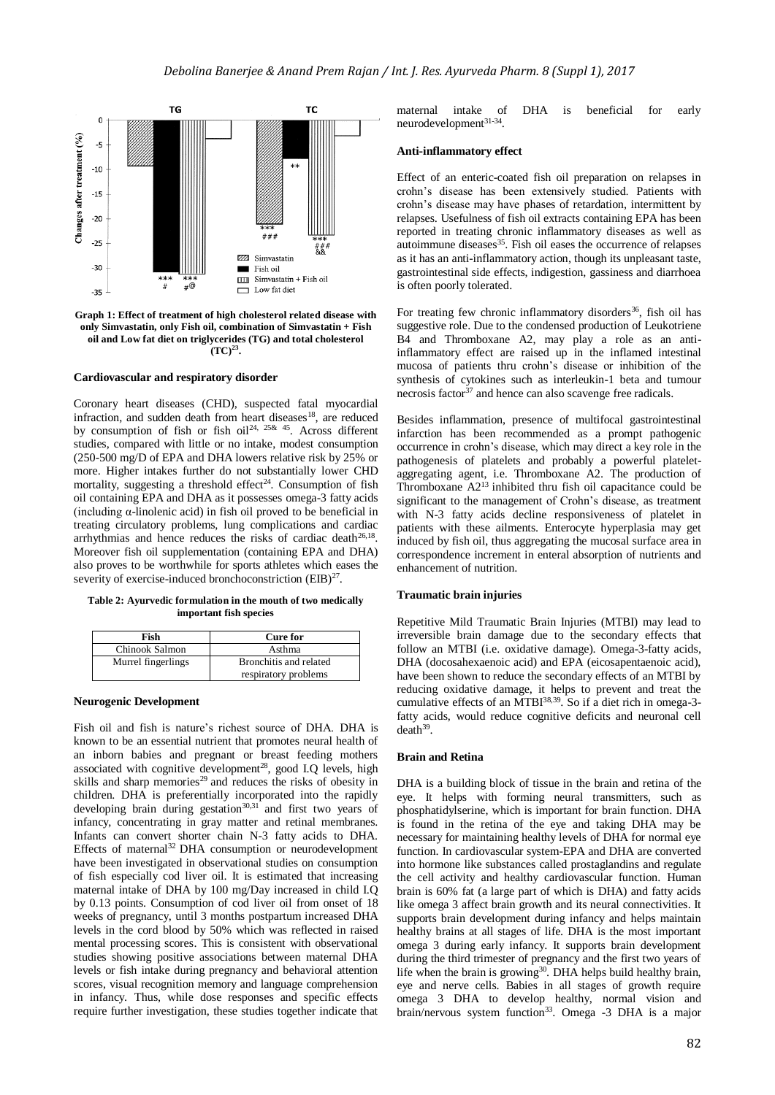

**Graph 1: Effect of treatment of high cholesterol related disease with only Simvastatin, only Fish oil, combination of Simvastatin + Fish oil and Low fat diet on triglycerides (TG) and total cholesterol**   $(TC)^{23}$ .

#### **Cardiovascular and respiratory disorder**

Coronary heart diseases (CHD), suspected fatal myocardial infraction, and sudden death from heart diseases<sup>18</sup>, are reduced by consumption of fish or fish oil<sup>24, 25& 45</sup>. Across different studies, compared with little or no intake, modest consumption (250-500 mg/D of EPA and DHA lowers relative risk by 25% or more. Higher intakes further do not substantially lower CHD mortality, suggesting a threshold effect<sup>24</sup>. Consumption of fish oil containing EPA and DHA as it possesses omega-3 fatty acids (including  $\alpha$ -linolenic acid) in fish oil proved to be beneficial in treating circulatory problems, lung complications and cardiac arrhythmias and hence reduces the risks of cardiac death<sup>26,18</sup>. Moreover fish oil supplementation (containing EPA and DHA) also proves to be worthwhile for sports athletes which eases the severity of exercise-induced bronchoconstriction (EIB)<sup>27</sup>.

**Table 2: Ayurvedic formulation in the mouth of two medically important fish species**

| Fish               | <b>Cure for</b>                                |  |
|--------------------|------------------------------------------------|--|
| Chinook Salmon     | Asthma                                         |  |
| Murrel fingerlings | Bronchitis and related<br>respiratory problems |  |

#### **Neurogenic Development**

Fish oil and fish is nature's richest source of DHA. DHA is known to be an essential nutrient that promotes neural health of an inborn babies and pregnant or breast feeding mothers associated with cognitive development<sup>28</sup>, good I.Q levels, high skills and sharp memories<sup>29</sup> and reduces the risks of obesity in children. DHA is preferentially incorporated into the rapidly developing brain during gestation<sup>30,31</sup> and first two years of infancy, concentrating in gray matter and retinal membranes. Infants can convert shorter chain N-3 fatty acids to DHA. Effects of maternal $32$  DHA consumption or neurodevelopment have been investigated in observational studies on consumption of fish especially cod liver oil. It is estimated that increasing maternal intake of DHA by 100 mg/Day increased in child I.Q by 0.13 points. Consumption of cod liver oil from onset of 18 weeks of pregnancy, until 3 months postpartum increased DHA levels in the cord blood by 50% which was reflected in raised mental processing scores. This is consistent with observational studies showing positive associations between maternal DHA levels or fish intake during pregnancy and behavioral attention scores, visual recognition memory and language comprehension in infancy. Thus, while dose responses and specific effects require further investigation, these studies together indicate that maternal intake of DHA is beneficial for early neurodevelopment<sup>31-34</sup>.

#### **Anti-inflammatory effect**

Effect of an enteric-coated fish oil preparation on relapses in crohn's disease has been extensively studied. Patients with crohn's disease may have phases of retardation, intermittent by relapses. Usefulness of fish oil extracts containing EPA has been reported in treating chronic inflammatory diseases as well as autoimmune diseases<sup>35</sup>. Fish oil eases the occurrence of relapses as it has an anti-inflammatory action, though its unpleasant taste, gastrointestinal side effects, indigestion, gassiness and diarrhoea is often poorly tolerated.

For treating few chronic inflammatory disorders<sup>36</sup>, fish oil has suggestive role. Due to the condensed production of Leukotriene B4 and Thromboxane A2, may play a role as an antiinflammatory effect are raised up in the inflamed intestinal mucosa of patients thru crohn's disease or inhibition of the synthesis of cytokines such as interleukin-1 beta and tumour necrosis factor $37$  and hence can also scavenge free radicals.

Besides inflammation, presence of multifocal gastrointestinal infarction has been recommended as a prompt pathogenic occurrence in crohn's disease, which may direct a key role in the pathogenesis of platelets and probably a powerful plateletaggregating agent, i.e. Thromboxane A2. The production of Thromboxane  $A2^{13}$  inhibited thru fish oil capacitance could be significant to the management of Crohn's disease, as treatment with N-3 fatty acids decline responsiveness of platelet in patients with these ailments. Enterocyte hyperplasia may get induced by fish oil, thus aggregating the mucosal surface area in correspondence increment in enteral absorption of nutrients and enhancement of nutrition.

# **Traumatic brain injuries**

Repetitive Mild Traumatic Brain Injuries (MTBI) may lead to irreversible brain damage due to the secondary effects that follow an MTBI (i.e. oxidative damage). Omega-3-fatty acids, DHA (docosahexaenoic acid) and EPA (eicosapentaenoic acid), have been shown to reduce the secondary effects of an MTBI by reducing oxidative damage, it helps to prevent and treat the cumulative effects of an MTBI38,39. So if a diet rich in omega-3 fatty acids, would reduce cognitive deficits and neuronal cell  $death^{39}$ .

# **Brain and Retina**

DHA is a building block of tissue in the brain and retina of the eye. It helps with forming neural transmitters, such as phosphatidylserine, which is important for brain function. DHA is found in the retina of the eye and taking DHA may be necessary for maintaining healthy levels of DHA for normal eye function. In cardiovascular system-EPA and DHA are converted into hormone like substances called prostaglandins and regulate the cell activity and healthy cardiovascular function. Human brain is 60% fat (a large part of which is DHA) and fatty acids like omega 3 affect brain growth and its neural connectivities. It supports brain development during infancy and helps maintain healthy brains at all stages of life. DHA is the most important omega 3 during early infancy. It supports brain development during the third trimester of pregnancy and the first two years of life when the brain is growing<sup>30</sup>. DHA helps build healthy brain, eye and nerve cells. Babies in all stages of growth require omega 3 DHA to develop healthy, normal vision and brain/nervous system function<sup>33</sup>. Omega -3 DHA is a major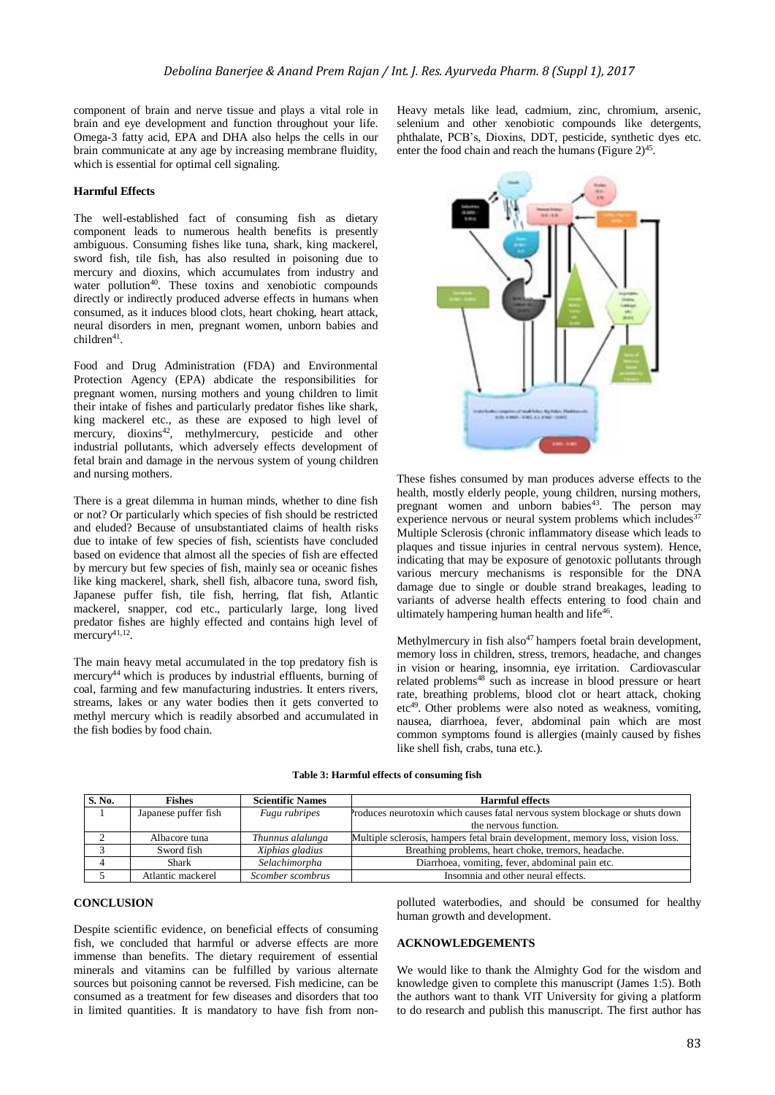component of brain and nerve tissue and plays a vital role in brain and eye development and function throughout your life. Omega-3 fatty acid, EPA and DHA also helps the cells in our brain communicate at any age by increasing membrane fluidity, which is essential for optimal cell signaling.

# **Harmful Effects**

The well-established fact of consuming fish as dietary component leads to numerous health benefits is presently ambiguous. Consuming fishes like tuna, shark, king mackerel, sword fish, tile fish, has also resulted in poisoning due to mercury and dioxins, which accumulates from industry and water pollution<sup>40</sup>. These toxins and xenobiotic compounds directly or indirectly produced adverse effects in humans when consumed, as it induces blood clots, heart choking, heart attack, neural disorders in men, pregnant women, unborn babies and children<sup>41</sup>.

Food and Drug Administration (FDA) and Environmental Protection Agency (EPA) abdicate the responsibilities for pregnant women, nursing mothers and young children to limit their intake of fishes and particularly predator fishes like shark, king mackerel etc., as these are exposed to high level of mercury, dioxins<sup>42</sup>, methylmercury, pesticide and other industrial pollutants, which adversely effects development of fetal brain and damage in the nervous system of young children and nursing mothers.

There is a great dilemma in human minds, whether to dine fish or not? Or particularly which species of fish should be restricted and eluded? Because of unsubstantiated claims of health risks due to intake of few species of fish, scientists have concluded based on evidence that almost all the species of fish are effected by mercury but few species of fish, mainly sea or oceanic fishes like king mackerel, shark, shell fish, albacore tuna, sword fish, Japanese puffer fish, tile fish, herring, flat fish, Atlantic mackerel, snapper, cod etc., particularly large, long lived predator fishes are highly effected and contains high level of mercury<sup>41,12</sup>.

The main heavy metal accumulated in the top predatory fish is mercury<sup>44</sup> which is produces by industrial effluents, burning of coal, farming and few manufacturing industries. It enters rivers, streams, lakes or any water bodies then it gets converted to methyl mercury which is readily absorbed and accumulated in the fish bodies by food chain.

Heavy metals like lead, cadmium, zinc, chromium, arsenic, selenium and other xenobiotic compounds like detergents, phthalate, PCB's, Dioxins, DDT, pesticide, synthetic dyes etc. enter the food chain and reach the humans (Figure  $2)^{45}$ .



These fishes consumed by man produces adverse effects to the health, mostly elderly people, young children, nursing mothers, pregnant women and unborn babies $43$ . The person may experience nervous or neural system problems which includes $37$ Multiple Sclerosis (chronic inflammatory disease which leads to plaques and tissue injuries in central nervous system). Hence, indicating that may be exposure of genotoxic pollutants through various mercury mechanisms is responsible for the DNA damage due to single or double strand breakages, leading to variants of adverse health effects entering to food chain and ultimately hampering human health and life<sup>46</sup>.

Methylmercury in fish also<sup>47</sup> hampers foetal brain development, memory loss in children, stress, tremors, headache, and changes in vision or hearing, insomnia, eye irritation. Cardiovascular related problems<sup>48</sup> such as increase in blood pressure or heart rate, breathing problems, blood clot or heart attack, choking etc<sup>49</sup>. Other problems were also noted as weakness, vomiting, nausea, diarrhoea, fever, abdominal pain which are most common symptoms found is allergies (mainly caused by fishes like shell fish, crabs, tuna etc.).

| S. No. | <b>Fishes</b>        | <b>Scientific Names</b> | <b>Harmful effects</b>                                                         |
|--------|----------------------|-------------------------|--------------------------------------------------------------------------------|
|        | Japanese puffer fish | Fugu rubripes           | Produces neurotoxin which causes fatal nervous system blockage or shuts down   |
|        |                      |                         | the nervous function.                                                          |
|        | Albacore tuna        | Thunnus alalunga        | Multiple sclerosis, hampers fetal brain development, memory loss, vision loss. |
|        | Sword fish           | Xiphias gladius         | Breathing problems, heart choke, tremors, headache.                            |
|        | Shark                | Selachimorpha           | Diarrhoea, vomiting, fever, abdominal pain etc.                                |
|        | Atlantic mackerel    | Scomber scombrus        | Insomnia and other neural effects.                                             |

# **Table 3: Harmful effects of consuming fish**

# **CONCLUSION**

Despite scientific evidence, on beneficial effects of consuming fish, we concluded that harmful or adverse effects are more immense than benefits. The dietary requirement of essential minerals and vitamins can be fulfilled by various alternate sources but poisoning cannot be reversed. Fish medicine, can be consumed as a treatment for few diseases and disorders that too in limited quantities. It is mandatory to have fish from non-

polluted waterbodies, and should be consumed for healthy human growth and development.

# **ACKNOWLEDGEMENTS**

We would like to thank the Almighty God for the wisdom and knowledge given to complete this manuscript (James 1:5). Both the authors want to thank VIT University for giving a platform to do research and publish this manuscript. The first author has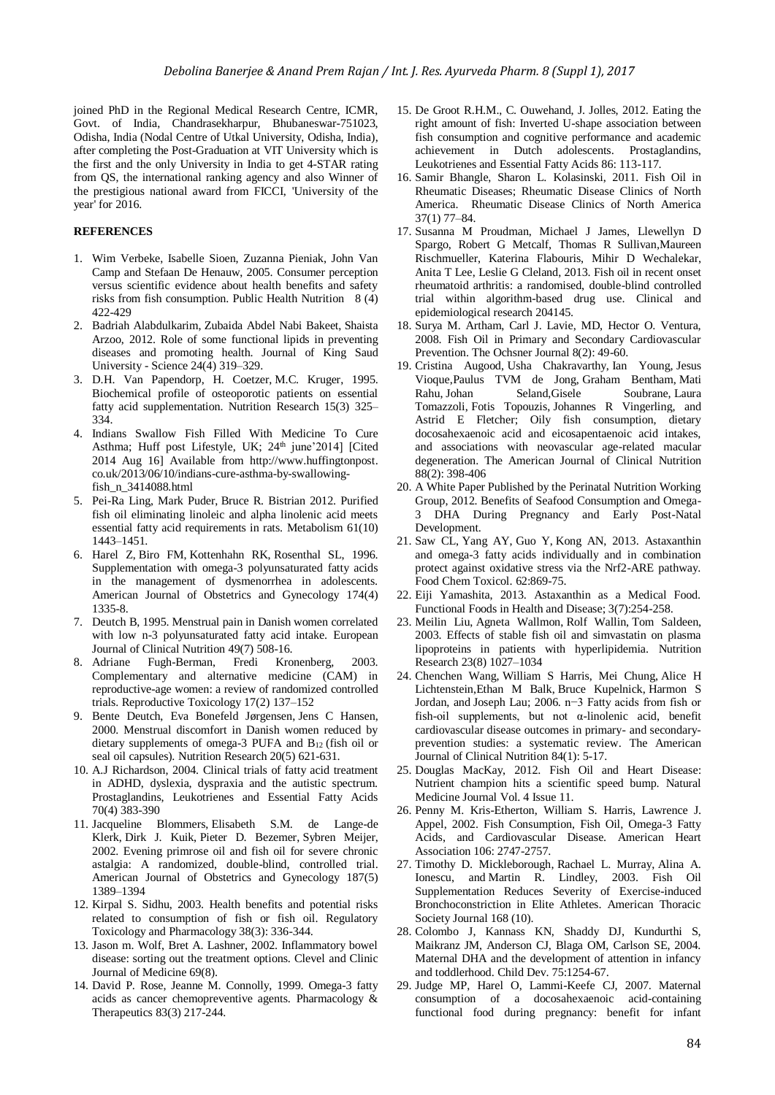joined PhD in the Regional Medical Research Centre, ICMR, Govt. of India, Chandrasekharpur, Bhubaneswar-751023, Odisha, India (Nodal Centre of Utkal University, Odisha, India), after completing the Post-Graduation at VIT University which is the first and the only University in India to get 4-STAR rating from QS, the international ranking agency and also Winner of the prestigious national award from FICCI, 'University of the year' for 2016.

# **REFERENCES**

- 1. Wim Verbeke, Isabelle Sioen, Zuzanna Pieniak, John Van Camp and Stefaan De Henauw, 2005. Consumer perception versus scientific evidence about health benefits and safety risks from fish consumption. Public Health Nutrition 8 (4) 422-429
- 2. Badriah [Alabdulkarim,](http://www.sciencedirect.com/science/article/pii/S1018364712000183) [Zubaida](http://www.sciencedirect.com/science/article/pii/S1018364712000183) Abdel Nabi Bakeet, [Shaista](http://www.sciencedirect.com/science/article/pii/S1018364712000183) [Arzoo,](http://www.sciencedirect.com/science/article/pii/S1018364712000183) 2012. Role of some functional lipids in preventing diseases and promoting health. [Journal](http://www.sciencedirect.com/science/journal/10183647) of King Saud [University](http://www.sciencedirect.com/science/journal/10183647) - Science 24(4) 319–329.
- 3. D.H. Van [Papendorp,](http://www.sciencedirect.com/science/article/pii/027153179500002X) H. Coetzer, M.C. [Kruger,](http://www.sciencedirect.com/science/article/pii/027153179500002X) 1995. Biochemical profile of osteoporotic patients on essential fatty acid supplementation. Nutrition Research 15(3) 325– 334.
- 4. Indians Swallow Fish Filled With Medicine To Cure Asthma; Huff post Lifestyle, UK; 24<sup>th</sup> june'2014] [Cited 2014 Aug 16] Available from [http://www.huffingtonpost.](http://www.huffingtonpost/) co.uk/2013/06/10/indians-cure-asthma-by-swallowingfish\_n\_3414088.html
- 5. Pei-Ra Ling, Mark Puder, Bruce R. Bistrian 2012. Purified fish oil eliminating linoleic and alpha linolenic acid meets essential fatty acid requirements in rats. [Metabolism](http://www.sciencedirect.com/science/journal/00260495) [61\(10\)](http://www.sciencedirect.com/science/journal/00260495/61/10) 1443–1451.
- 6. [Harel Z,](http://www.ncbi.nlm.nih.gov/pubmed?term=Harel%20Z%5BAuthor%5D&cauthor=true&cauthor_uid=8623866) [Biro FM,](http://www.ncbi.nlm.nih.gov/pubmed?term=Biro%20FM%5BAuthor%5D&cauthor=true&cauthor_uid=8623866) [Kottenhahn RK,](http://www.ncbi.nlm.nih.gov/pubmed?term=Kottenhahn%20RK%5BAuthor%5D&cauthor=true&cauthor_uid=8623866) [Rosenthal SL,](http://www.ncbi.nlm.nih.gov/pubmed?term=Rosenthal%20SL%5BAuthor%5D&cauthor=true&cauthor_uid=8623866) 1996. Supplementation with omega-3 polyunsaturated fatty acids in the management of dysmenorrhea in adolescents. [American Journal of Obstetrics and Gynecology](http://www.ncbi.nlm.nih.gov/pubmed/8623866) 174(4) 1335-8.
- 7. [Deutch B,](http://www.ncbi.nlm.nih.gov/pubmed?term=Deutch%20B%5BAuthor%5D&cauthor=true&cauthor_uid=7588501) 1995. Menstrual pain in Danish women correlated with low n-3 polyunsaturated fatty acid intake. [European](http://www.ncbi.nlm.nih.gov/pubmed/7588501)  [Journal of Clinical Nutrition](http://www.ncbi.nlm.nih.gov/pubmed/7588501) 49(7) 508-16.
- 8. Adriane Fugh-Berman, Fredi Kronenberg, 2003. Complementary and alternative medicine (CAM) in reproductive-age women: a review of randomized controlled trials[. Reproductive](http://www.sciencedirect.com/science/journal/08906238) Toxicology [17\(2\)](http://www.sciencedirect.com/science/journal/08906238) 137–152
- 9. Bente [Deutch,](http://www.sciencedirect.com/science/article/pii/S0271531700001524) Eva Bonefeld [Jørgensen,](http://www.sciencedirect.com/science/article/pii/S0271531700001524) Jens C [Hansen,](http://www.sciencedirect.com/science/article/pii/S0271531700001524) 2000. Menstrual discomfort in Danish women reduced by dietary supplements of omega-3 PUFA and B<sup>12</sup> (fish oil or seal oil capsules). [Nutrition](http://www.sciencedirect.com/science/journal/02715317) Research 20(5) 621-631.
- 10. A.J [Richardson,](http://www.sciencedirect.com/science/article/pii/S0952327804000109) 2004. Clinical trials of fatty acid treatment in ADHD, dyslexia, dyspraxia and the autistic spectrum. [Prostaglandins,](http://www.sciencedirect.com/science/journal/09523278) Leukotrienes and Essential Fatty Acid[s](http://www.sciencedirect.com/science/journal/09523278) [70\(4\)](http://www.sciencedirect.com/science/journal/09523278/70/4) 383-390
- 11. Jacqueline [Blommers,](http://www.sciencedirect.com/science/article/pii/S0002937802004258) Elisabeth S.M. de [Lange-de](http://www.sciencedirect.com/science/article/pii/S0002937802004258) [Klerk,](http://www.sciencedirect.com/science/article/pii/S0002937802004258) Dirk J. [Kuik,](http://www.sciencedirect.com/science/article/pii/S0002937802004258) Pieter D. [Bezemer,](http://www.sciencedirect.com/science/article/pii/S0002937802004258) Sybren [Meijer,](http://www.sciencedirect.com/science/article/pii/S0002937802004258)  2002. Evening primrose oil and fish oil for severe chronic astalgia: A randomized, double-blind, controlled trial. American Journal of Obstetrics and [Gynecology](http://www.sciencedirect.com/science/journal/00029378) [187\(5\)](http://www.sciencedirect.com/science/journal/00029378/187/5) 1389–1394
- 12. [Kirpal](http://www.sciencedirect.com/science/article/pii/S0273230003001004) S. Sidhu, 2003. Health benefits and potential risks related to consumption of fish or fish oil. Regulatory Toxicology and Pharmacology 38(3): 336-344.
- 13. Jason m. Wolf, Bret A. Lashner, 2002. Inflammatory bowel disease: sorting out the treatment options. Clevel and Clinic Journal of Medicine 69(8).
- 14. [David](http://www.sciencedirect.com/science/article/pii/S0163725899000261) P. Rose, Jeanne M. [Connolly,](http://www.sciencedirect.com/science/article/pii/S0163725899000261) 1999. Omega-3 fatty acids as cancer chemopreventive agents. [Pharmacology](http://www.sciencedirect.com/science/journal/01637258) & [Therapeutics](http://www.sciencedirect.com/science/journal/01637258) 83(3) 217-244.
- 15. De Groot R.H.M., C. Ouwehand, J. Jolles, 2012. Eating the right amount of fish: Inverted U-shape association between fish consumption and cognitive performance and academic achievement in Dutch adolescents. Prostaglandins, Leukotrienes and Essential Fatty Acids 86: 113-117.
- 16. Samir Bhangle, Sharon L. Kolasinski, 2011. Fish Oil in Rheumatic Diseases; [Rheumatic](http://www.sciencedirect.com/science/journal/0889857X) Disease Clinics of North [America.](http://www.sciencedirect.com/science/journal/0889857X) Rheumatic Disease Clinics of North America [37\(1\)](http://www.sciencedirect.com/science/journal/0889857X/37/1) 77–84.
- 17. Susanna M [Proudman,](http://ard.bmj.com/search?author1=Susanna+M+Proudman&sortspec=date&submit=Submit) [Michael](http://ard.bmj.com/search?author1=Michael+J+James&sortspec=date&submit=Submit) J James, [Llewellyn](http://ard.bmj.com/search?author1=Llewellyn+D+Spargo&sortspec=date&submit=Submit) D [Spargo,](http://ard.bmj.com/search?author1=Llewellyn+D+Spargo&sortspec=date&submit=Submit) Robert G [Metcalf,](http://ard.bmj.com/search?author1=Robert+G+Metcalf&sortspec=date&submit=Submit) Thomas R [Sullivan,](http://ard.bmj.com/search?author1=Thomas+R+Sullivan&sortspec=date&submit=Submit)[Maureen](http://ard.bmj.com/search?author1=Maureen+Rischmueller&sortspec=date&submit=Submit) [Rischmueller,](http://ard.bmj.com/search?author1=Maureen+Rischmueller&sortspec=date&submit=Submit) Katerina [Flabouris,](http://ard.bmj.com/search?author1=Katerina+Flabouris&sortspec=date&submit=Submit) Mihir D [Wechalekar,](http://ard.bmj.com/search?author1=Mihir+D+Wechalekar&sortspec=date&submit=Submit)  [Anita](http://ard.bmj.com/search?author1=Anita+T+Lee&sortspec=date&submit=Submit) T Lee, Leslie G [Cleland,](http://ard.bmj.com/search?author1=Leslie+G+Cleland&sortspec=date&submit=Submit) 2013. Fish oil in recent onset rheumatoid arthritis: a randomised, double-blind controlled trial within algorithm-based drug use. Clinical and epidemiological research 204145.
- 18. Surya M. Artham, Carl J. Lavie, MD, Hector O. Ventura, 2008. Fish Oil in Primary and Secondary Cardiovascular Prevention. The Ochsner Journal 8(2): 49-60.
- 19. Cristina [Augood,](http://ajcn.nutrition.org/search?author1=Cristina+Augood&sortspec=date&submit=Submit) Usha [Chakravarthy,](http://ajcn.nutrition.org/search?author1=Usha+Chakravarthy&sortspec=date&submit=Submit) Ian [Young,](http://ajcn.nutrition.org/search?author1=Ian+Young&sortspec=date&submit=Submit) [Jesus](http://ajcn.nutrition.org/search?author1=Jesus+Vioque&sortspec=date&submit=Submit) [Vioque](http://ajcn.nutrition.org/search?author1=Jesus+Vioque&sortspec=date&submit=Submit)[,Paulus](http://ajcn.nutrition.org/search?author1=Paulus+TVM+de+Jong&sortspec=date&submit=Submit) TVM de Jong, Graham [Bentham,](http://ajcn.nutrition.org/search?author1=Graham+Bentham&sortspec=date&submit=Submit) [Mati](http://ajcn.nutrition.org/search?author1=Mati+Rahu&sortspec=date&submit=Submit) [Rahu,](http://ajcn.nutrition.org/search?author1=Mati+Rahu&sortspec=date&submit=Submit) Johan [Seland,](http://ajcn.nutrition.org/search?author1=Johan+Seland&sortspec=date&submit=Submit)Gisele [Soubrane,](http://ajcn.nutrition.org/search?author1=Gisele+Soubrane&sortspec=date&submit=Submit) [Laura](http://ajcn.nutrition.org/search?author1=Laura+Tomazzoli&sortspec=date&submit=Submit) [Tomazzoli,](http://ajcn.nutrition.org/search?author1=Laura+Tomazzoli&sortspec=date&submit=Submit) Fotis [Topouzis,](http://ajcn.nutrition.org/search?author1=Fotis+Topouzis&sortspec=date&submit=Submit) Johannes R [Vingerling,](http://ajcn.nutrition.org/search?author1=Johannes+R+Vingerling&sortspec=date&submit=Submit) and Astrid E [Fletcher;](http://ajcn.nutrition.org/search?author1=Astrid+E+Fletcher&sortspec=date&submit=Submit) Oily fish consumption, dietary docosahexaenoic acid and eicosapentaenoic acid intakes, and associations with neovascular age-related macular degeneration. The American Journal of Clinical Nutrition 88(2): 398-406
- 20. A White Paper Published by the Perinatal Nutrition Working Group, 2012. Benefits of Seafood Consumption and Omega-3 DHA During Pregnancy and Early Post-Natal Development.
- 21. Saw CL, Yang AY, Guo Y, Kong AN, 2013. Astaxanthin and omega-3 fatty acids individually and in combination protect against oxidative stress via the Nrf2-ARE pathway. [Food Chem Toxicol.](http://www.ncbi.nlm.nih.gov/pubmed/24157545) 62:869-75.
- 22. Eiji Yamashita, 2013. Astaxanthin as a Medical Food. Functional Foods in Health and Disease; 3(7):254-258.
- 23. [Meilin](http://www.sciencedirect.com/science/article/pii/S0271531703001027) Liu, Agneta [Wallmon,](http://www.sciencedirect.com/science/article/pii/S0271531703001027) Rolf [Wallin,](http://www.sciencedirect.com/science/article/pii/S0271531703001027) Tom [Saldeen,](http://www.sciencedirect.com/science/article/pii/S0271531703001027) 2003. Effects of stable fish oil and simvastatin on plasma lipoproteins in patients with hyperlipidemia. [Nutrition](http://www.sciencedirect.com/science/journal/02715317) [Research](http://www.sciencedirect.com/science/journal/02715317) [23\(8\)](http://www.sciencedirect.com/science/journal/02715317/23/8) 1027–1034
- 24. [Chenchen](http://ajcn.nutrition.org/search?author1=Chenchen+Wang&sortspec=date&submit=Submit) Wang, [William](http://ajcn.nutrition.org/search?author1=William+S+Harris&sortspec=date&submit=Submit) S Harris, Mei [Chung,](http://ajcn.nutrition.org/search?author1=Mei+Chung&sortspec=date&submit=Submit) [Alice](http://ajcn.nutrition.org/search?author1=Alice+H+Lichtenstein&sortspec=date&submit=Submit) H [Lichtenstein](http://ajcn.nutrition.org/search?author1=Alice+H+Lichtenstein&sortspec=date&submit=Submit)[,Ethan](http://ajcn.nutrition.org/search?author1=Ethan+M+Balk&sortspec=date&submit=Submit) M Balk, Bruce [Kupelnick,](http://ajcn.nutrition.org/search?author1=Bruce+Kupelnick&sortspec=date&submit=Submit) [Harmon](http://ajcn.nutrition.org/search?author1=Harmon+S+Jordan&sortspec=date&submit=Submit) S [Jordan,](http://ajcn.nutrition.org/search?author1=Harmon+S+Jordan&sortspec=date&submit=Submit) and [Joseph](http://ajcn.nutrition.org/search?author1=Joseph+Lau&sortspec=date&submit=Submit) Lau; 2006. n−3 Fatty acids from fish or fish-oil supplements, but not α-linolenic acid, benefit cardiovascular disease outcomes in primary- and secondaryprevention studies: a systematic review. The American Journal of Clinical Nutrition 84(1): 5-17.
- 25. Douglas MacKay, 2012. Fish Oil and Heart Disease: Nutrient champion hits a scientific speed bump. Natural Medicine Journal Vol. 4 Issue 11.
- 26. Penny M. [Kris-Etherton,](http://circ.ahajournals.org/search?author1=Penny+M.+Kris-Etherton&sortspec=date&submit=Submit) [William](http://circ.ahajournals.org/search?author1=William+S.+Harris&sortspec=date&submit=Submit) S. Harris, [Lawrence](http://circ.ahajournals.org/search?author1=Lawrence+J.+Appel&sortspec=date&submit=Submit) J. [Appel,](http://circ.ahajournals.org/search?author1=Lawrence+J.+Appel&sortspec=date&submit=Submit) 2002. Fish Consumption, Fish Oil, Omega-3 Fatty Acids, and Cardiovascular Disease. American Heart Association 106: 2747-2757.
- 27. Timothy D. Mickleborough, Rachael L. Murray, Alina A. Ionescu, and Martin R. Lindley, 2003. Fish Oil Supplementation Reduces Severity of Exercise-induced Bronchoconstriction in Elite Athletes. American Thoracic Society Journal 168 (10).
- 28. Colombo J, Kannass KN, Shaddy DJ, Kundurthi S, Maikranz JM, Anderson CJ, Blaga OM, Carlson SE, 2004. Maternal DHA and the development of attention in infancy and toddlerhood. Child Dev. 75:1254-67.
- 29. Judge MP, Harel O, Lammi-Keefe CJ, 2007. Maternal consumption of a docosahexaenoic acid-containing functional food during pregnancy: benefit for infant